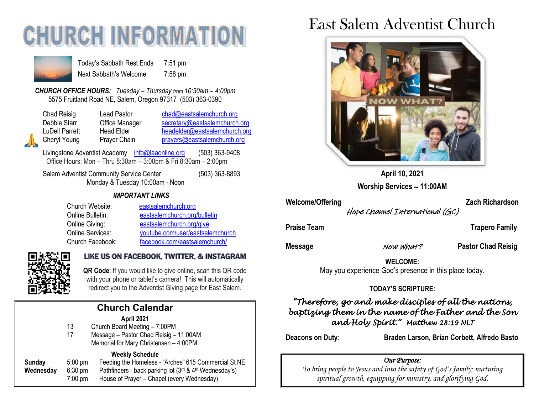# **CHURCH INFORMATI**



Today's Sabbath Rest Ends 7:51 pm Next Sabbath's Welcome 7:58 pm

*CHURCH OFFICE HOURS: Tuesday – Thursday from 10:30am – 4:00pm* 5575 Fruitland Road NE, Salem, Oregon 97317 (503) 363-0390

| <b>Chad Reisig</b>    | Lead Pastor                                     | chad@eastsalemchurch.org      |
|-----------------------|-------------------------------------------------|-------------------------------|
| Debbie Starr          | Office Manager<br>secretary@eastsalemchurch.org |                               |
| <b>LuDell Parrett</b> | <b>Head Elder</b>                               | headelder@eastsalemchurch.org |
| Cheryl Young          | Prayer Chain                                    | prayers@eastsalemchurch.org   |

Livingstone Adventist Academy [info@laaonline.org](mailto:info@laaonline.org) (503) 363-9408 Office Hours: Mon – Thru 8:30am – 3:00pm & Fri 8:30am – 2:00pm

Salem Adventist Community Service Center (503) 363-8893 Monday & Tuesday 10:00am - Noon

#### *IMPORTANT LINKS*

| Church Website:         | eastsalemchurch.org              |
|-------------------------|----------------------------------|
| Online Bulletin:        | eastsalemchurch.org/bulletin     |
| Online Giving:          | eastsalemchurch.org/give         |
| <b>Online Services:</b> | youtube.com/user/eastsalemchurch |
| Church Facebook:        | facebook.com/eastsalemchurch/    |



#### LIKE US ON FACEBOOK, TWITTER, & INSTAGRAM

**QR Code**: If you would like to give online, scan this QR code with your phone or tablet's camera! This will automatically redirect you to the Adventist Giving page for East Salem.

|           |           |                                                        | cc. |
|-----------|-----------|--------------------------------------------------------|-----|
|           |           | <b>Church Calendar</b>                                 | Ъa  |
|           |           | April 2021                                             |     |
|           | 13        | Church Board Meeting - 7:00PM                          |     |
|           | 17        | Message - Pastor Chad Reisig - 11:00AM                 |     |
|           |           |                                                        | Dea |
|           |           | Memorial for Mary Christensen - 4:00PM                 |     |
|           |           | <b>Weekly Schedule</b>                                 |     |
| Sunday    | $5:00$ pm | Feeding the Homeless - "Arches" 615 Commercial St NE   |     |
| Wednesday | $6:30$ pm | Pathfinders - back parking lot (3rd & 4th Wednesday's) |     |
|           | $7:00$ pm | House of Prayer - Chapel (every Wednesday)             |     |
|           |           |                                                        |     |

# East Salem Adventist Church



**April 10, 2021 Worship Services 11:00AM**

Welcome/Offering **Zach Richardson** 

Hope Channel International (GC)

**Praise Team Trapero Family** 

**Message Now What? Pastor Chad Reisig** 

**WELCOME:** 

May you experience God's presence in this place today.

#### **TODAY'S SCRIPTURE:**

# *"Therefore, go and make disciples of all the nations, baptizing them in the name of the Father and the Son and Holy Spirit." Matthew 28:19 NLT*

**Deacons on Duty: Braden Larson, Brian Corbett, Alfredo Basto** 

#### *Our Purpose:*

*To bring people to Jesus and into the safety of God's family; nurturing spiritual growth, equipping for ministry, and glorifying God.*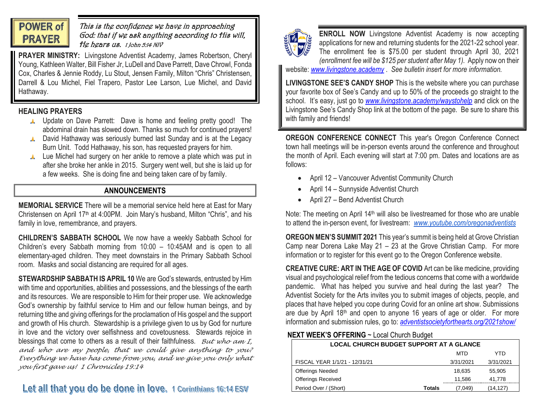

### This is the confidence we have in approaching God: that if we ask anything according to His will, He hears us. 1 John 5:14 NIV

**PRAYER MINISTRY:** Livingstone Adventist Academy, James Robertson, Cheryl Young, Kathleen Walter, Bill Fisher Jr, LuDell and Dave Parrett, Dave Chrowl, Fonda Cox, Charles & Jennie Roddy, Lu Stout, Jensen Family, Milton "Chris" Christensen, Darrell & Lou Michel, Fiel Trapero, Pastor Lee Larson, Lue Michel, and David Hathaway.

## **HEALING PRAYERS**

- **A** Update on Dave Parrett: Dave is home and feeling pretty good! The abdominal drain has slowed down. Thanks so much for continued prayers!
- **A** David Hathaway was seriously burned last Sunday and is at the Legacy Burn Unit. Todd Hathaway, his son, has requested prayers for him.
- Lue Michel had surgery on her ankle to remove a plate which was put in after she broke her ankle in 2015. Surgery went well, but she is laid up for a few weeks. She is doing fine and being taken care of by family.

# **ANNOUNCEMENTS**

**MEMORIAL SERVICE** There will be a memorial service held here at East for Mary Christensen on April 17th at 4:00PM. Join Mary's husband, Milton "Chris", and his family in love, remembrance, and prayers.

**CHILDREN'S SABBATH SCHOOL** We now have a weekly Sabbath School for Children's every Sabbath morning from 10:00 – 10:45AM and is open to all elementary-aged children. They meet downstairs in the Primary Sabbath School room. Masks and social distancing are required for all ages.

**STEWARDSHIP SABBATH IS APRIL 10** We are God's stewards, entrusted by Him with time and opportunities, abilities and possessions, and the blessings of the earth and its resources. We are responsible to Him for their proper use. We acknowledge God's ownership by faithful service to Him and our fellow human beings, and by returning tithe and giving offerings for the proclamation of His gospel and the support and growth of His church. Stewardship is a privilege given to us by God for nurture in love and the victory over selfishness and covetousness. Stewards rejoice in blessings that come to others as a result of their faithfulness. *But who am I, and who are my people, that we could give anything to you? Everything we have has come from you, and we give you only what you first gave us! 1 Chronicles 19:14*



**ENROLL NOW** Livingstone Adventist Academy is now accepting applications for new and returning students for the 2021-22 school year. The enrollment fee is \$75.00 per student through April 30, 2021 *(enrollment fee will be \$125 per student after May 1).* Apply now on their website: *[www.livingstone.academy](file:///C:/Users/Secretary/Documents/Bulletin/Past%20Bulletins/2021/www.livingstone.academy)* . *See bulletin insert for more information.*

**LIVINGSTONE SEE'S CANDY SHOP** This is the website where you can purchase your favorite box of See's Candy and up to 50% of the proceeds go straight to the school. It's easy, just go to *[www.livingstone.academy/waystohelp](http://www.livingstone.academy/waystohelp)* and click on the Livingstone See's Candy Shop link at the bottom of the page. Be sure to share this with family and friends!

**OREGON CONFERENCE CONNECT** This year's Oregon Conference Connect town hall meetings will be in-person events around the conference and throughout the month of April. Each evening will start at 7:00 pm. Dates and locations are as follows:

- April 12 Vancouver Adventist Community Church
- April 14 Sunnyside Adventist Church
- April 27 Bend Adventist Church

Note: The meeting on April 14<sup>th</sup> will also be livestreamed for those who are unable to attend the in-person event, for livestream: *[www.youtube.com/oregonadventists](http://www.youtube.com/oregonadventists)*

**OREGON MEN'S SUMMIT 2021** This year's summit is being held at Grove Christian Camp near Dorena Lake May 21 – 23 at the Grove Christian Camp. For more information or to register for this event go to the Oregon Conference website.

**CREATIVE CURE: ART IN THE AGE OF COVID** Art can be like medicine, providing visual and psychological relief from the tedious concerns that come with a worldwide pandemic. What has helped you survive and heal during the last year? The Adventist Society for the Arts invites you to submit images of objects, people, and places that have helped you cope during Covid for an online art show. Submissions are due by April  $18<sup>th</sup>$  and open to anyone 16 years of age or older. For more information and submission rules, go to: *[adventistsocietyforthearts.org/2021show/](https://adventistsocietyforthearts.org/2021show/)*

# **NEXT WEEK'S OFFERING** ~ Local Church Budget

| <b>LOCAL CHURCH BUDGET SUPPORT AT A GLANCE</b> |           |           |  |  |  |
|------------------------------------------------|-----------|-----------|--|--|--|
|                                                | MTD       | YTD       |  |  |  |
| FISCAL YEAR 1/1/21 - 12/31/21                  | 3/31/2021 | 3/31/2021 |  |  |  |
| <b>Offerings Needed</b>                        | 18.635    | 55.905    |  |  |  |
| <b>Offerings Received</b>                      | 11.586    | 41.778    |  |  |  |
| Period Over / (Short)<br><b>Totals</b>         | (7.049)   | (14.127)  |  |  |  |